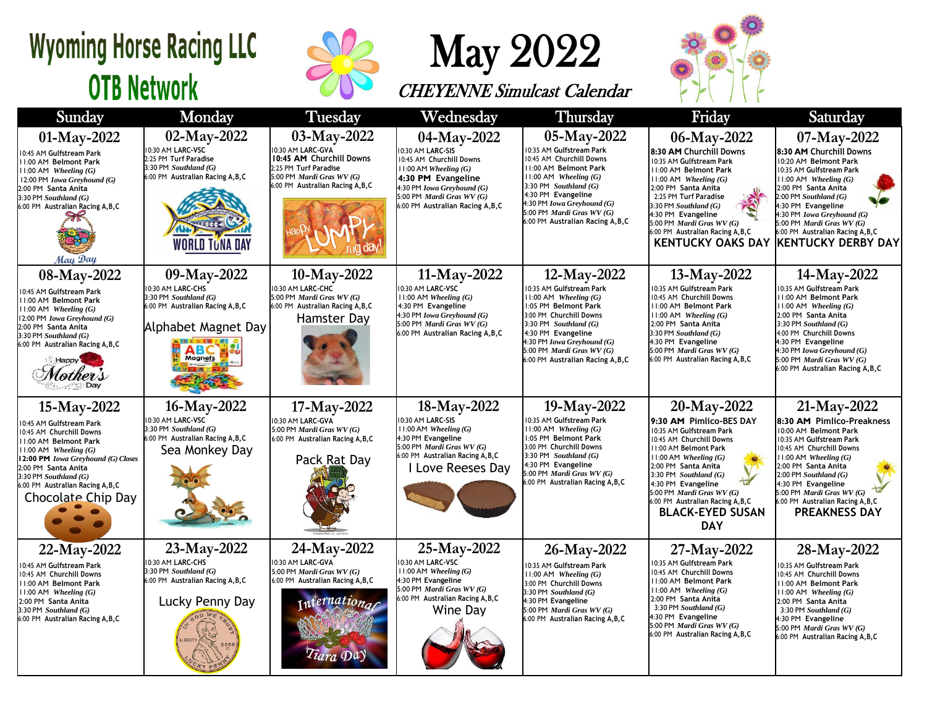## **Wyoming Horse Racing LLC OTB Network**



May 2022

CHEYENNE Simulcast Calendar



| Sunday                                                                                                                                                                                                                                                                       | Monday                                                                                                                                                  | Tuesday                                                                                                                                                 | Wednesday                                                                                                                                                                                                    | <b>Thursday</b>                                                                                                                                                                                                                                                          | Friday                                                                                                                                                                                                                                                                                                                                  | Saturday                                                                                                                                                                                                                                                                                                                 |
|------------------------------------------------------------------------------------------------------------------------------------------------------------------------------------------------------------------------------------------------------------------------------|---------------------------------------------------------------------------------------------------------------------------------------------------------|---------------------------------------------------------------------------------------------------------------------------------------------------------|--------------------------------------------------------------------------------------------------------------------------------------------------------------------------------------------------------------|--------------------------------------------------------------------------------------------------------------------------------------------------------------------------------------------------------------------------------------------------------------------------|-----------------------------------------------------------------------------------------------------------------------------------------------------------------------------------------------------------------------------------------------------------------------------------------------------------------------------------------|--------------------------------------------------------------------------------------------------------------------------------------------------------------------------------------------------------------------------------------------------------------------------------------------------------------------------|
| 01-May-2022<br>0:45 AM Gulfstream Park<br>II:00 AM Belmont Park<br>$1:00$ AM Wheeling $(G)$<br>12:00 PM Iowa Greyhound (G)<br>2:00 PM Santa Anita<br>$3:30$ PM Southland $(G)$<br>6:00 PM Australian Racing A, B, C<br>May Day                                               | 02-May-2022<br>10:30 AM LARC-VSC<br>2:25 PM Turf Paradise<br>3:30 PM Southland (G)<br>6:00 PM Australian Racing A, B, C<br>WORLD TUNA DAY               | 03-May-2022<br>10:30 AM LARC-GVA<br>10:45 AM Churchill Downs<br>2:25 PM Turf Paradise<br>5:00 PM Mardi Gras WV (G)<br>6:00 PM Australian Racing A, B, C | 04-May-2022<br>0:30 AM LARC-SIS<br>10:45 AM Churchill Downs<br>$11:00$ AM Wheeling $(G)$<br>4:30 PM Evangeline<br>4:30 PM Iowa Greyhound (G)<br>5:00 PM Mardi Gras WV (G)<br>6:00 PM Australian Racing A,B,C | 05-May-2022<br>10:35 AM Gulfstream Park<br>10:45 AM Churchill Downs<br>11:00 AM Belmont Park<br>$11:00$ AM Wheeling $(G)$<br>3:30 PM Southland $(G)$<br>4:30 PM Evangeline<br>4:30 PM Iowa Greyhound (G)<br>5:00 PM Mardi Gras WV (G)<br>6:00 PM Australian Racing A,B,C | 06-May-2022<br>8:30 AM Churchill Downs<br>10:35 AM Gulfstream Park<br>11:00 AM Belmont Park<br>$11:00$ AM Wheeling $(G)$<br>2:00 PM Santa Anita<br>2:25 PM Turf Paradise<br>$3:30$ PM Southland $(G)$<br>4:30 PM Evangeline<br>5:00 PM Mardi Gras WV (G)<br>6:00 PM Australian Racing A, B, C<br><b>KENTUCKY OAKS DAY</b>               | 07-May-2022<br>8:30 AM Churchill Downs<br>10:20 AM Belmont Park<br>10:35 AM Gulfstream Park<br>$11:00$ AM Wheeling $(G)$<br>2:00 PM Santa Anita<br>$2:00$ PM Southland $(G)$<br>4:30 PM Evangeline<br>4:30 PM Iowa Greyhound (G)<br>5:00 PM Mardi Gras WV (G)<br>6:00 PM Australian Racing A, B, C<br>KENTUCKY DERBY DAY |
| 08-May-2022<br>0:45 AM Gulfstream Park<br>II:00 AM Belmont Park<br>$11:00$ AM Wheeling $(G)$<br>2:00 PM <i>Iowa Greyhound</i> (G)<br>2:00 PM Santa Anita<br>$3:30$ PM Southland $(G)$<br>6:00 PM Australian Racing A, B, C<br>Happy<br>Mother.                               | 09-May-2022<br>10:30 AM LARC-CHS<br>3:30 PM Southland (G)<br>6:00 PM Australian Racing A, B, C<br>Alphabet Magnet Day<br><b>ABC SOLUTION</b><br>Magnets | 10-May-2022<br>10:30 AM LARC-CHC<br>5:00 PM Mardi Gras WV (G)<br>6:00 PM Australian Racing A, B, C<br>Hamster Day                                       | 11-May-2022<br>10:30 AM LARC-VSC<br>$11:00$ AM Wheeling $(G)$<br>4:30 PM Evangeline<br>4:30 PM Iowa Greyhound (G)<br>5:00 PM <i>Mardi Gras WV</i> $(G)$<br>6:00 PM Australian Racing A, B, C                 | 12-May-2022<br>10:35 AM Gulfstream Park<br>$11:00$ AM Wheeling $(G)$<br>1:05 PM Belmont Park<br>3:00 PM Churchill Downs<br>3:30 PM Southland $(G)$<br>4:30 PM Evangeline<br>4:30 PM Iowa Greyhound (G)<br>5:00 PM Mardi Gras WV (G)<br>6:00 PM Australian Racing A,B,C   | 13-May-2022<br>10:35 AM Gulfstream Park<br>10:45 AM Churchill Downs<br>11:00 AM Belmont Park<br>$11:00$ AM Wheeling $(G)$<br>2:00 PM Santa Anita<br>$3:30$ PM Southland $(G)$<br>4:30 PM Evangeline<br>5:00 PM <i>Mardi Gras WV</i> $(G)$<br>6:00 PM Australian Racing A, B, C                                                          | 14-May-2022<br>10:35 AM Gulfstream Park<br>11:00 AM Belmont Park<br>$11:00$ AM Wheeling $(G)$<br>2:00 PM Santa Anita<br>$3:30$ PM Southland $(G)$<br>4:00 PM Churchill Downs<br>4:30 PM Evangeline<br>4:30 PM Iowa Greyhound (G)<br>5:00 PM Mardi Gras WV (G)<br>6:00 PM Australian Racing A.B.C                         |
| 15-May-2022<br>0:45 AM Gulfstream Park<br>0:45 AM Churchill Downs<br>II:00 AM Belmont Park<br>$H: 00 AM$ Wheeling $(G)$<br>12:00 PM Iowa Greyhound (G) Closes<br>2:00 PM Santa Anita<br>$3:30$ PM Southland $(G)$<br>6:00 PM Australian Racing A, B, C<br>Chocolate Chip Day | 16-May-2022<br>0:30 AM LARC-VSC<br>3:30 PM Southland $(G)$<br>6:00 PM Australian Racing A, B, C<br>Sea Monkey Day                                       | 17-May-2022<br>10:30 AM LARC-GVA<br>5:00 PM Mardi Gras $WV(G)$<br>6:00 PM Australian Racing A, B, C<br>Pack Rat Day                                     | 18-May-2022<br>10:30 AM LARC-SIS<br>$11:00$ AM Wheeling $(G)$<br>4:30 PM Evangeline<br>5:00 PM Mardi Gras WV (G)<br>6:00 PM Australian Racing A, B, C<br>I Love Reeses Day                                   | 19-May-2022<br>10:35 AM Gulfstream Park<br>$11:00$ AM Wheeling $(G)$<br>1:05 PM Belmont Park<br>3:00 PM Churchill Downs<br>3:30 PM Southland $(G)$<br>4:30 PM Evangeline<br>5:00 PM Mardi Gras WV (G)<br>6:00 PM Australian Racing A, B, C                               | 20-May-2022<br>9:30 AM Pimlico-BES DAY<br>10:35 AM Gulfstream Park<br>10:45 AM Churchill Downs<br>11:00 AM Belmont Park<br>$11:00$ AM Wheeling $(G)$<br>2:00 PM Santa Anita<br>3:30 PM Southland $(G)$<br>4:30 PM Evangeline<br>5:00 PM Mardi Gras WV (G)<br>6:00 PM Australian Racing A, B, C<br><b>BLACK-EYED SUSAN</b><br><b>DAY</b> | 21-May-2022<br>8:30 AM Pimlico-Preakness<br>10:00 AM Belmont Park<br>10:35 AM Gulfstream Park<br>10:45 AM Churchill Downs<br>11:00 AM Wheeling (G)<br>2:00 PM Santa Anita<br>$2:00$ PM Southland $(G)$<br>4:30 PM Evangeline<br>5:00 PM Mardi Gras WV (G)<br>6:00 PM Australian Racing A, B, C<br><b>PREAKNESS DAY</b>   |
| $22-May-2022$<br>0:45 AM Gulfstream Park<br>0:45 AM Churchill Downs<br>I I:00 AM Belmont Park<br>$11.00$ AM <i>Wheeling</i> $(G)$<br>2:00 PM Santa Anita<br>3:30 PM Southland (G)<br>6:00 PM Australian Racing A, B, C                                                       | 23-May-2022<br>10:30 AM LARC-CHS<br>3:30 PM Southland (G)<br>6:00 PM Australian Racing A, B, C<br>Lucky Penny Day<br>2009                               | 24-May-2022<br>10:30 AM LARC-GVA<br>5:00 PM Mardi Gras WV (G)<br>6:00 PM Australian Racing A, B, C<br>ernational<br>Tiara Day                           | 25-May-2022<br>10:30 AM LARC-VSC<br>$11:00$ AM Wheeling $(G)$<br>4:30 PM Evangeline<br>5:00 PM Mardi Gras WV (G)<br>6:00 PM Australian Racing A, B, C<br>Wine Day                                            | 26-May-2022<br>10:35 AM Gulfstream Park<br>$11:00$ AM Wheeling $(G)$<br>3:00 PM Churchill Downs<br>3:30 PM Southland (G)<br>4:30 PM Evangeline<br>5:00 PM Mardi Gras WV (G)<br>6:00 PM Australian Racing A, B, C                                                         | 27-May-2022<br>10:35 AM Gulfstream Park<br>10:45 AM Churchill Downs<br>11:00 AM Belmont Park<br>$11:00$ AM Wheeling $(G)$<br>2:00 PM Santa Anita<br>3:30 PM Southland $(G)$<br>4:30 PM Evangeline<br>5:00 PM Mardi Gras WV (G)<br>6:00 PM Australian Racing A, B, C                                                                     | 28-May-2022<br>10:35 AM Gulfstream Park<br>10:45 AM Churchill Downs<br>11:00 AM Belmont Park<br>$11:00$ AM Wheeling $(G)$<br>2:00 PM Santa Anita<br>3:30 PM Southland $(G)$<br>4:30 PM Evangeline<br>5:00 PM Mardi Gras WV (G)<br>6:00 PM Australian Racing A, B, C                                                      |